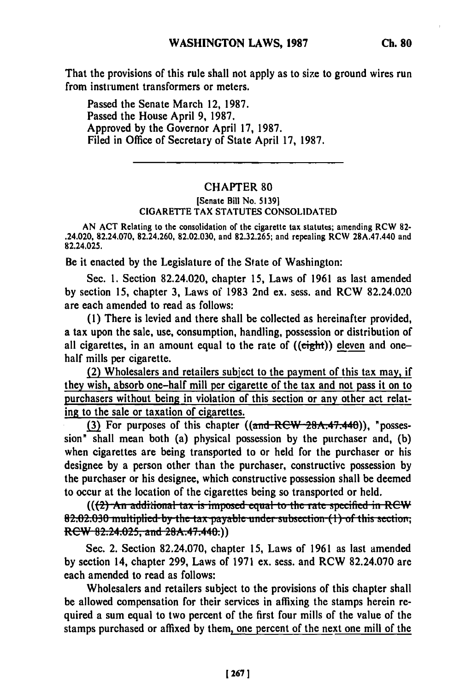That the provisions of this rule shall not apply as to size to ground wires run from instrument transformers or meters.

Passed the Senate March 12, **1987.** Passed the House April 9, 1987. Approved **by** the Governor April **17, 1987.** Filed in Office of Secretary of State April **17, 1987.**

## CHAPTER **80**

## [Senate Bill No. **51391** CIGARETTE **TAX STATUTES CONSOLIDATED**

**AN ACT** Relating to the consolidation of the cigarette tax statutes; amending RCW **82-** .24.020, 82.24.070, 82.24.260, **82.02.030,** and **82.32.265;** and repealing **RCW** 28A.47.440 and 82.24.025.

Be it enacted **by** the Legislature of the State of Washington:

Sec. **1.** Section 82.24.020, chapter **15,** Laws of **1961** as last amended by section **15,** chapter **3,** Laws of **1983** 2nd ex. sess. and RCW 82.24.020 are each amended to read as follows:

**(1)** There is levied and there shall be collected as hereinafter provided, a tax upon the sale, use, consumption, handling, possession or distribution of all cigarettes, in an amount equal to the rate of  $((\text{eight}))$  eleven and onehalf mills per cigarette.

(2) Wholesalers and retailers subject to the payment of this tax may, **if** they wish, absorb one-half mill per cigarette of the tax and not pass it on to purchasers without being in violation of this section or any other act relating to the sale or taxation of cigarettes.

**(3)** For purposes of this chapter ((and **RCW** 28A.47.440)), "possession" shall mean both (a) physical possession by the purchaser and, **(b)** when cigarettes are being transported to or held for the purchaser or his designee **by** a person other than the purchaser, constructive possession **by** the purchaser or his designee, which constructive possession shall be deemed to occur at the location of the cigarettes being so transported or held.

**82.02.030 multiplied by the tax is imposed equal to the rate specified in RCW 82.02.030 multiplied by the tax payable under subsection (1) of this section,** *RCW 82.24.025, and 28A.47.440.)* 

Sec. 2. Section **82.24.070,** chapter **15,** Laws of 1961 as last amended **by** section 14, chapter **299,** Laws of **1971** ex. sess. and RCW 82.24.070 are each amended to read as follows:

Wholesalers and retailers subject to the provisions of this chapter shall be allowed compensation for their services in affixing the stamps herein required a sum equal to two percent of the first four mills of the value of the stamps purchased or affixed **by** them, one percent of the next one mill of the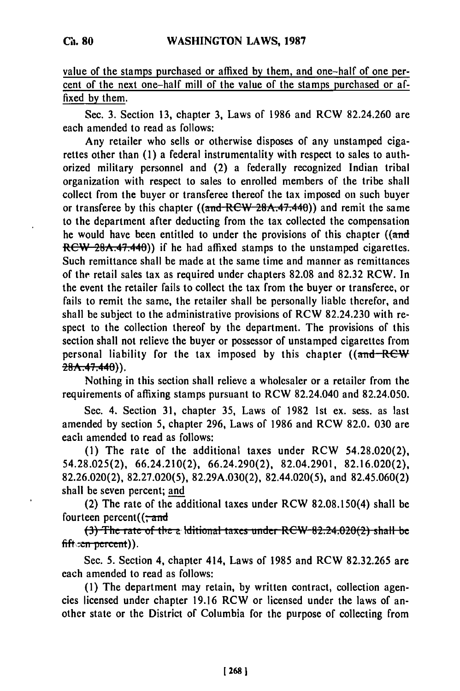value of the stamps purchased or affixed **by** them, and one-half of one percent of the next one-half mill of the value of the stamps purchased or affixed **by** them.

Sec. 3. Section 13, chapter 3, Laws of 1986 and RCW 82.24.260 are each amended to read as follows:

Any retailer who sells or otherwise disposes of any unstamped cigarettes other than (1) a federal instrumentality with respect to sales to authorized military personnel and (2) a federally recognized Indian tribal organization with respect to sales to enrolled members of the tribe shall collect from the buyer or transferee thereof the tax imposed on such buyer or transferee by this chapter  $((\text{and } RCW 28A.47.440))$  and remit the same to the department after deducting from the tax collected the compensation he would have been entitled to under the provisions of this chapter ((and RCW 28A.47.440)) if he had affixed stamps to the unstamped cigarettes. Such remittance shall be made at the same time and manner as remittances of the retail sales tax as required under chapters 82.08 and 82.32 RCW. In the event the retailer fails to collect the tax from the buyer or transferee, or fails to remit the same, the retailer shall be personally liable therefor, and shall be subject to the administrative provisions of RCW 82.24.230 with respect to the collection thereof by the department. The provisions of this section shall not relieve the buyer or possessor of unstamped cigarettes from personal liability for the tax imposed by this chapter  $((\text{and}-\text{R}e^{\psi}))$  $28A.47.440$ ).

Nothing in this section shall relieve a wholesaler or a retailer from the requirements of affixing stamps pursuant to RCW 82.24.040 and 82.24.050.

Sec. 4. Section 31, chapter 35, Laws of 1982 1st ex. sess. as last amended by section 5, chapter 296, Laws of 1986 and RCW 82.0, 030 are each amended to read as follows:

**(1)** The rate of the additional taxes under RCW 54.28.020(2), 54.28.025(2), 66.24.210(2), 66.24.290(2), 82.04.2901, 82.16.020(2), 82.26.020(2), 82.27.020(5), 82.29A.030(2), 82.44.020(5), and 82.45.060(2) shall be seven percent; and

(2) The rate of the additional taxes under RCW 82.08.150(4) shall be fourteen percent $((\div \text{and}$ 

**(3)** The rate of the a lditional taxes under RCW 82.24.020(2) shall be fift cen percent)).

Sec. 5. Section 4, chapter 414, Laws of 1985 and RCW 82.32.265 are each amended to read as follows:

(1) The department may retain, by written contract, collection agencies licensed under chapter 19.16 RCW or licensed under the laws of another state or the District of Columbia for the purpose of collecting from